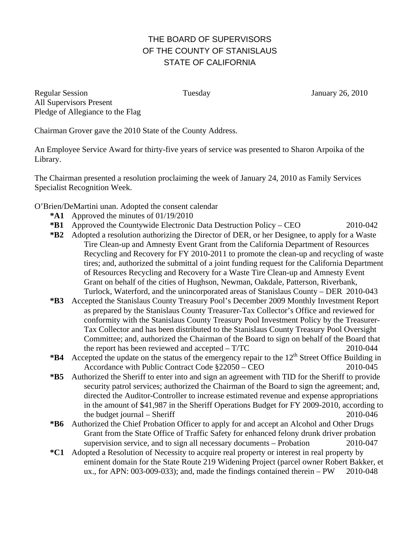## THE BOARD OF SUPERVISORS OF THE COUNTY OF STANISLAUS STATE OF CALIFORNIA

Regular Session Tuesday January 26, 2010 All Supervisors Present Pledge of Allegiance to the Flag

Chairman Grover gave the 2010 State of the County Address.

An Employee Service Award for thirty-five years of service was presented to Sharon Arpoika of the Library.

The Chairman presented a resolution proclaiming the week of January 24, 2010 as Family Services Specialist Recognition Week.

O'Brien/DeMartini unan. Adopted the consent calendar

- **\*A1** Approved the minutes of 01/19/2010
- **\*B1** Approved the Countywide Electronic Data Destruction Policy CEO 2010-042
- **\*B2** Adopted a resolution authorizing the Director of DER, or her Designee, to apply for a Waste Tire Clean-up and Amnesty Event Grant from the California Department of Resources Recycling and Recovery for FY 2010-2011 to promote the clean-up and recycling of waste tires; and, authorized the submittal of a joint funding request for the California Department of Resources Recycling and Recovery for a Waste Tire Clean-up and Amnesty Event Grant on behalf of the cities of Hughson, Newman, Oakdale, Patterson, Riverbank, Turlock, Waterford, and the unincorporated areas of Stanislaus County – DER 2010-043
- **\*B3** Accepted the Stanislaus County Treasury Pool's December 2009 Monthly Investment Report as prepared by the Stanislaus County Treasurer-Tax Collector's Office and reviewed for conformity with the Stanislaus County Treasury Pool Investment Policy by the Treasurer-Tax Collector and has been distributed to the Stanislaus County Treasury Pool Oversight Committee; and, authorized the Chairman of the Board to sign on behalf of the Board that the report has been reviewed and accepted – T/TC 2010-044
- \***B4** Accepted the update on the status of the emergency repair to the 12<sup>th</sup> Street Office Building in Accordance with Public Contract Code  $$22050 - CEO$  2010-045
- **\*B5** Authorized the Sheriff to enter into and sign an agreement with TID for the Sheriff to provide security patrol services; authorized the Chairman of the Board to sign the agreement; and, directed the Auditor-Controller to increase estimated revenue and expense appropriations in the amount of \$41,987 in the Sheriff Operations Budget for FY 2009-2010, according to the budget journal – Sheriff 2010-046
- **\*B6** Authorized the Chief Probation Officer to apply for and accept an Alcohol and Other Drugs Grant from the State Office of Traffic Safety for enhanced felony drunk driver probation supervision service, and to sign all necessary documents – Probation 2010-047
- **\*C1** Adopted a Resolution of Necessity to acquire real property or interest in real property by eminent domain for the State Route 219 Widening Project (parcel owner Robert Bakker, et ux., for APN:  $003-009-033$ ; and, made the findings contained therein – PW  $2010-048$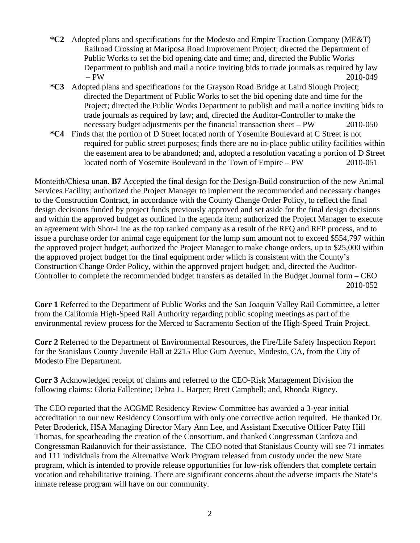- **\*C2** Adopted plans and specifications for the Modesto and Empire Traction Company (ME&T) Railroad Crossing at Mariposa Road Improvement Project; directed the Department of Public Works to set the bid opening date and time; and, directed the Public Works Department to publish and mail a notice inviting bids to trade journals as required by law – PW 2010-049
- **\*C3** Adopted plans and specifications for the Grayson Road Bridge at Laird Slough Project; directed the Department of Public Works to set the bid opening date and time for the Project; directed the Public Works Department to publish and mail a notice inviting bids to trade journals as required by law; and, directed the Auditor-Controller to make the necessary budget adjustments per the financial transaction sheet – PW 2010-050
- **\*C4** Finds that the portion of D Street located north of Yosemite Boulevard at C Street is not required for public street purposes; finds there are no in-place public utility facilities within the easement area to be abandoned; and, adopted a resolution vacating a portion of D Street located north of Yosemite Boulevard in the Town of Empire – PW 2010-051

Monteith/Chiesa unan. **B7** Accepted the final design for the Design-Build construction of the new Animal Services Facility; authorized the Project Manager to implement the recommended and necessary changes to the Construction Contract, in accordance with the County Change Order Policy, to reflect the final design decisions funded by project funds previously approved and set aside for the final design decisions and within the approved budget as outlined in the agenda item; authorized the Project Manager to execute an agreement with Shor-Line as the top ranked company as a result of the RFQ and RFP process, and to issue a purchase order for animal cage equipment for the lump sum amount not to exceed \$554,797 within the approved project budget; authorized the Project Manager to make change orders, up to \$25,000 within the approved project budget for the final equipment order which is consistent with the County's Construction Change Order Policy, within the approved project budget; and, directed the Auditor-Controller to complete the recommended budget transfers as detailed in the Budget Journal form – CEO 2010-052

**Corr 1** Referred to the Department of Public Works and the San Joaquin Valley Rail Committee, a letter from the California High-Speed Rail Authority regarding public scoping meetings as part of the environmental review process for the Merced to Sacramento Section of the High-Speed Train Project.

**Corr 2** Referred to the Department of Environmental Resources, the Fire/Life Safety Inspection Report for the Stanislaus County Juvenile Hall at 2215 Blue Gum Avenue, Modesto, CA, from the City of Modesto Fire Department.

**Corr 3** Acknowledged receipt of claims and referred to the CEO-Risk Management Division the following claims: Gloria Fallentine; Debra L. Harper; Brett Campbell; and, Rhonda Rigney.

The CEO reported that the ACGME Residency Review Committee has awarded a 3-year initial accreditation to our new Residency Consortium with only one corrective action required. He thanked Dr. Peter Broderick, HSA Managing Director Mary Ann Lee, and Assistant Executive Officer Patty Hill Thomas, for spearheading the creation of the Consortium, and thanked Congressman Cardoza and Congressman Radanovich for their assistance. The CEO noted that Stanislaus County will see 71 inmates and 111 individuals from the Alternative Work Program released from custody under the new State program, which is intended to provide release opportunities for low-risk offenders that complete certain vocation and rehabilitative training. There are significant concerns about the adverse impacts the State's inmate release program will have on our community.